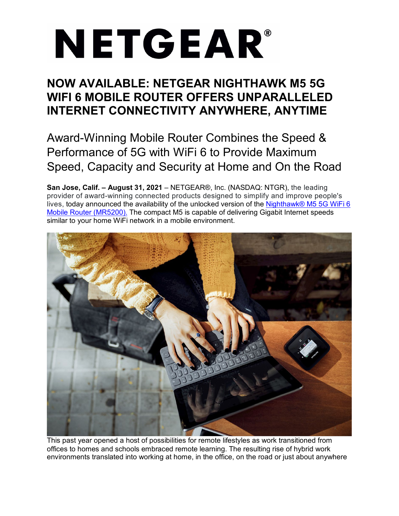# NETGEAR®

## **NOW AVAILABLE: NETGEAR NIGHTHAWK M5 5G WIFI 6 MOBILE ROUTER OFFERS UNPARALLELED INTERNET CONNECTIVITY ANYWHERE, ANYTIME**

Award-Winning Mobile Router Combines the Speed & Performance of 5G with WiFi 6 to Provide Maximum Speed, Capacity and Security at Home and On the Road

**San Jose, Calif. – August 31, 2021** – NETGEAR®, Inc. (NASDAQ: NTGR), the leading provider of award-winning connected products designed to simplify and improve people's lives, today announced the availability of the unlocked version of the Nighthawk® M5 5G WiFi 6 [Mobile Router \(MR5200\).](https://www.netgear.com/home/mobile-wifi/hotspots/mr5200/) The compact M5 is capable of delivering Gigabit Internet speeds similar to your home WiFi network in a mobile environment.



This past year opened a host of possibilities for remote lifestyles as work transitioned from offices to homes and schools embraced remote learning. The resulting rise of hybrid work environments translated into working at home, in the office, on the road or just about anywhere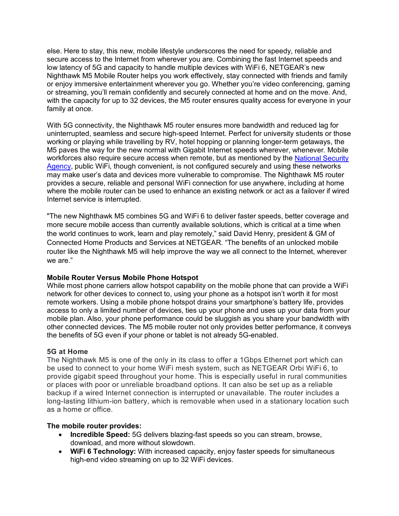else. Here to stay, this new, mobile lifestyle underscores the need for speedy, reliable and secure access to the Internet from wherever you are. Combining the fast Internet speeds and low latency of 5G and capacity to handle multiple devices with WiFi 6, NETGEAR's new Nighthawk M5 Mobile Router helps you work effectively, stay connected with friends and family or enjoy immersive entertainment wherever you go. Whether you're video conferencing, gaming or streaming, you'll remain confidently and securely connected at home and on the move. And, with the capacity for up to 32 devices, the M5 router ensures quality access for everyone in your family at once.

With 5G connectivity, the Nighthawk M5 router ensures more bandwidth and reduced lag for uninterrupted, seamless and secure high-speed Internet. Perfect for university students or those working or playing while travelling by RV, hotel hopping or planning longer-term getaways, the M5 paves the way for the new normal with Gigabit Internet speeds wherever, whenever. Mobile workforces also require secure access when remote, but as mentioned by the National Security [Agency,](https://media.defense.gov/2021/Jul/29/2002815141/-1/-1/0/CSI_SECURING_WIRELESS_DEVICES_IN_PUBLIC.PDF) public WiFi, though convenient, is not configured securely and using these networks may make user's data and devices more vulnerable to compromise. The Nighthawk M5 router provides a secure, reliable and personal WiFi connection for use anywhere, including at home where the mobile router can be used to enhance an existing network or act as a failover if wired Internet service is interrupted.

"The new Nighthawk M5 combines 5G and WiFi 6 to deliver faster speeds, better coverage and more secure mobile access than currently available solutions, which is critical at a time when the world continues to work, learn and play remotely," said David Henry, president & GM of Connected Home Products and Services at NETGEAR. "The benefits of an unlocked mobile router like the Nighthawk M5 will help improve the way we all connect to the Internet, wherever we are."

### **Mobile Router Versus Mobile Phone Hotspot**

While most phone carriers allow hotspot capability on the mobile phone that can provide a WiFi network for other devices to connect to, using your phone as a hotspot isn't worth it for most remote workers. Using a mobile phone hotspot drains your smartphone's battery life, provides access to only a limited number of devices, ties up your phone and uses up your data from your mobile plan. Also, your phone performance could be sluggish as you share your bandwidth with other connected devices. The M5 mobile router not only provides better performance, it conveys the benefits of 5G even if your phone or tablet is not already 5G-enabled.

### **5G at Home**

The Nighthawk M5 is one of the only in its class to offer a 1Gbps Ethernet port which can be used to connect to your home WiFi mesh system, such as NETGEAR Orbi WiFi 6, to provide gigabit speed throughout your home. This is especially useful in rural communities or places with poor or unreliable broadband options. It can also be set up as a reliable backup if a wired Internet connection is interrupted or unavailable. The router includes a long-lasting lithium-ion battery, which is removable when used in a stationary location such as a home or office.

### **The mobile router provides:**

- **Incredible Speed:** 5G delivers blazing-fast speeds so you can stream, browse, download, and more without slowdown.
- **WiFi 6 Technology:** With increased capacity, enjoy faster speeds for simultaneous high-end video streaming on up to 32 WiFi devices.